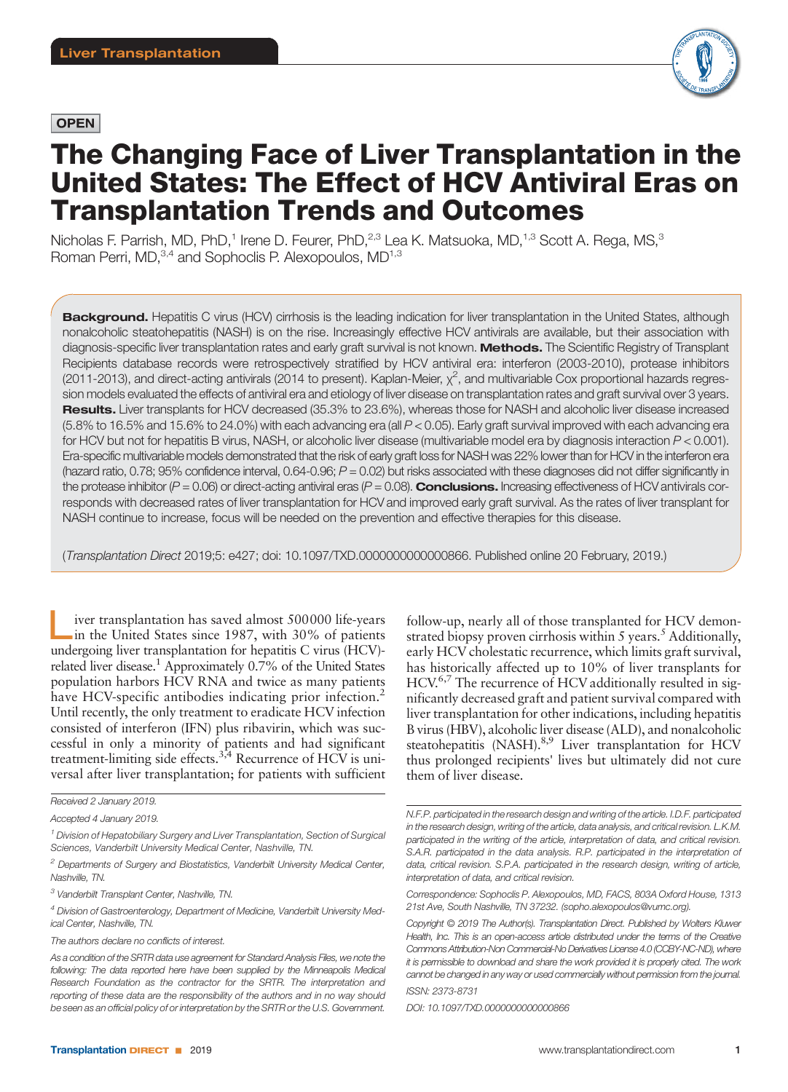# **OPEN**



# The Changing Face of Liver Transplantation in the United States: The Effect of HCV Antiviral Eras on Transplantation Trends and Outcomes

Nicholas F. Parrish, MD, PhD,<sup>1</sup> Irene D. Feurer, PhD,<sup>2,3</sup> Lea K. Matsuoka, MD,<sup>1,3</sup> Scott A. Rega, MS,<sup>3</sup> Roman Perri, MD,<sup>3,4</sup> and Sophoclis P. Alexopoulos, MD<sup>1,3</sup>

Background. Hepatitis C virus (HCV) cirrhosis is the leading indication for liver transplantation in the United States, although nonalcoholic steatohepatitis (NASH) is on the rise. Increasingly effective HCV antivirals are available, but their association with diagnosis-specific liver transplantation rates and early graft survival is not known. Methods. The Scientific Registry of Transplant Recipients database records were retrospectively stratified by HCV antiviral era: interferon (2003-2010), protease inhibitors (2011-2013), and direct-acting antivirals (2014 to present). Kaplan-Meier,  $\chi^2$ , and multivariable Cox proportional hazards regression models evaluated the effects of antiviral era and etiology of liver disease on transplantation rates and graft survival over 3 years. Results. Liver transplants for HCV decreased (35.3% to 23.6%), whereas those for NASH and alcoholic liver disease increased (5.8% to 16.5% and 15.6% to 24.0%) with each advancing era (all P < 0.05). Early graft survival improved with each advancing era for HCV but not for hepatitis B virus, NASH, or alcoholic liver disease (multivariable model era by diagnosis interaction P < 0.001). Era-specific multivariable models demonstrated that the risk of early graft loss for NASH was 22% lower than for HCV in the interferon era (hazard ratio, 0.78; 95% confidence interval, 0.64-0.96;  $P = 0.02$ ) but risks associated with these diagnoses did not differ significantly in the protease inhibitor ( $P = 0.06$ ) or direct-acting antiviral eras ( $P = 0.08$ ). **Conclusions.** Increasing effectiveness of HCV antivirals corresponds with decreased rates of liver transplantation for HCV and improved early graft survival. As the rates of liver transplant for NASH continue to increase, focus will be needed on the prevention and effective therapies for this disease.

(Transplantation Direct 2019;5: e427; doi: 10.1097/TXD.0000000000000866. Published online 20 February, 2019.)

iver transplantation has saved almost 500000 life-years in the United States since 1987, with 30% of patients undergoing liver transplantation for hepatitis C virus (HCV) related liver disease.<sup>1</sup> Approximately  $0.7\%$  of the United States population harbors HCV RNA and twice as many patients have HCV-specific antibodies indicating prior infection.<sup>2</sup> Until recently, the only treatment to eradicate HCV infection consisted of interferon (IFN) plus ribavirin, which was successful in only a minority of patients and had significant treatment-limiting side effects.<sup>3,4</sup> Recurrence of HCV is universal after liver transplantation; for patients with sufficient

follow-up, nearly all of those transplanted for HCV demonstrated biopsy proven cirrhosis within  $5$  years.<sup>5</sup> Additionally, early HCV cholestatic recurrence, which limits graft survival, has historically affected up to 10% of liver transplants for HCV.<sup>6,7</sup> The recurrence of HCV additionally resulted in significantly decreased graft and patient survival compared with liver transplantation for other indications, including hepatitis B virus (HBV), alcoholic liver disease (ALD), and nonalcoholic steatohepatitis (NASH).<sup>8,9</sup> Liver transplantation for HCV thus prolonged recipients' lives but ultimately did not cure them of liver disease.

DOI: 10.1097/TXD.0000000000000866

Received 2 January 2019.

Accepted 4 January 2019.

 $1$  Division of Hepatobiliary Surgery and Liver Transplantation, Section of Surgical Sciences, Vanderbilt University Medical Center, Nashville, TN.

 $^2$  Departments of Surgery and Biostatistics, Vanderbilt University Medical Center, Nashville, TN.

 $3$  Vanderbilt Transplant Center, Nashville, TN.

<sup>4</sup> Division of Gastroenterology, Department of Medicine, Vanderbilt University Medical Center, Nashville, TN.

The authors declare no conflicts of interest.

As a condition of the SRTR data use agreement for Standard Analysis Files, we note the following: The data reported here have been supplied by the Minneapolis Medical Research Foundation as the contractor for the SRTR. The interpretation and reporting of these data are the responsibility of the authors and in no way should be seen as an official policy of or interpretation by the SRTR or the U.S. Government.

N.F.P. participated in the research design and writing of the article. I.D.F. participated in the research design, writing of the article, data analysis, and critical revision, L.K.M. participated in the writing of the article, interpretation of data, and critical revision. S.A.R. participated in the data analysis. R.P. participated in the interpretation of data, critical revision. S.P.A. participated in the research design, writing of article, interpretation of data, and critical revision.

Correspondence: Sophoclis P. Alexopoulos, MD, FACS, 803A Oxford House, 1313 21st Ave, South Nashville, TN 37232. (sopho.alexopoulos@vumc.org).

Copyright © 2019 The Author(s). Transplantation Direct. Published by Wolters Kluwer Health, Inc. This is an open-access article distributed under the terms of the Creative Commons Attribution-Non Commercial-No Derivatives License 4.0 (CCBY-NC-ND), where it is permissible to download and share the work provided it is properly cited. The work cannot be changed in any way or used commercially without permission from the journal. ISSN: 2373-8731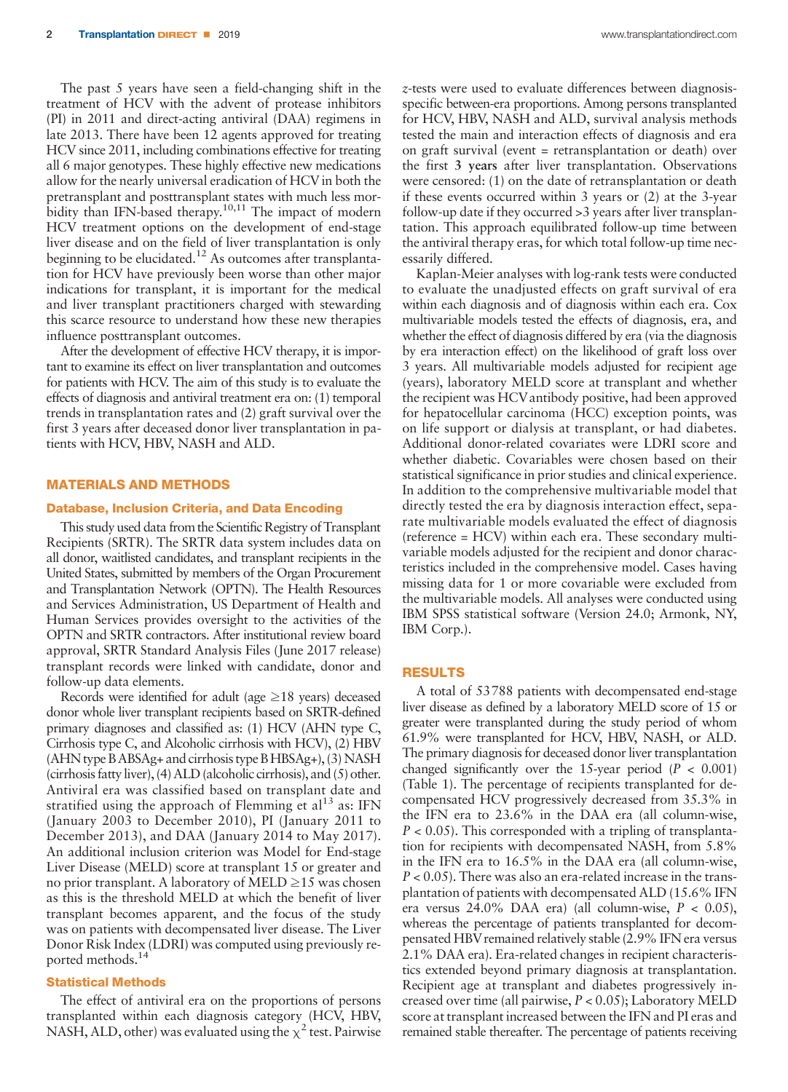The past 5 years have seen a field-changing shift in the treatment of HCV with the advent of protease inhibitors (PI) in 2011 and direct-acting antiviral (DAA) regimens in late 2013. There have been 12 agents approved for treating HCV since 2011, including combinations effective for treating all 6 major genotypes. These highly effective new medications allow for the nearly universal eradication of HCV in both the pretransplant and posttransplant states with much less morbidity than IFN-based therapy.<sup>10,11</sup> The impact of modern HCV treatment options on the development of end-stage liver disease and on the field of liver transplantation is only beginning to be elucidated.<sup>12</sup> As outcomes after transplantation for HCV have previously been worse than other major indications for transplant, it is important for the medical and liver transplant practitioners charged with stewarding this scarce resource to understand how these new therapies influence posttransplant outcomes.

After the development of effective HCV therapy, it is important to examine its effect on liver transplantation and outcomes for patients with HCV. The aim of this study is to evaluate the effects of diagnosis and antiviral treatment era on: (1) temporal trends in transplantation rates and (2) graft survival over the first 3 years after deceased donor liver transplantation in patients with HCV, HBV, NASH and ALD.

## MATERIALS AND METHODS

### Database, Inclusion Criteria, and Data Encoding

This study used data from the Scientific Registry of Transplant Recipients (SRTR). The SRTR data system includes data on all donor, waitlisted candidates, and transplant recipients in the United States, submitted by members of the Organ Procurement and Transplantation Network (OPTN). The Health Resources and Services Administration, US Department of Health and Human Services provides oversight to the activities of the OPTN and SRTR contractors. After institutional review board approval, SRTR Standard Analysis Files (June 2017 release) transplant records were linked with candidate, donor and follow-up data elements.

Records were identified for adult (age  $\geq$ 18 years) deceased donor whole liver transplant recipients based on SRTR-defined primary diagnoses and classified as: (1) HCV (AHN type C, Cirrhosis type C, and Alcoholic cirrhosis with HCV), (2) HBV (AHN type B ABSAg+ and cirrhosis type B HBSAg+), (3) NASH (cirrhosis fatty liver), (4) ALD (alcoholic cirrhosis), and (5) other. Antiviral era was classified based on transplant date and stratified using the approach of Flemming et  $al<sup>13</sup>$  as: IFN (January 2003 to December 2010), PI (January 2011 to December 2013), and DAA (January 2014 to May 2017). An additional inclusion criterion was Model for End-stage Liver Disease (MELD) score at transplant 15 or greater and no prior transplant. A laboratory of MELD ≥15 was chosen as this is the threshold MELD at which the benefit of liver transplant becomes apparent, and the focus of the study was on patients with decompensated liver disease. The Liver Donor Risk Index (LDRI) was computed using previously reported methods.<sup>14</sup>

## Statistical Methods

The effect of antiviral era on the proportions of persons transplanted within each diagnosis category (HCV, HBV, NASH, ALD, other) was evaluated using the  $\chi^2$  test. Pairwise z-tests were used to evaluate differences between diagnosisspecific between-era proportions. Among persons transplanted for HCV, HBV, NASH and ALD, survival analysis methods tested the main and interaction effects of diagnosis and era on graft survival (event = retransplantation or death) over the first 3 years after liver transplantation. Observations were censored: (1) on the date of retransplantation or death if these events occurred within 3 years or (2) at the 3-year follow-up date if they occurred >3 years after liver transplantation. This approach equilibrated follow-up time between the antiviral therapy eras, for which total follow-up time necessarily differed.

Kaplan-Meier analyses with log-rank tests were conducted to evaluate the unadjusted effects on graft survival of era within each diagnosis and of diagnosis within each era. Cox multivariable models tested the effects of diagnosis, era, and whether the effect of diagnosis differed by era (via the diagnosis by era interaction effect) on the likelihood of graft loss over 3 years. All multivariable models adjusted for recipient age (years), laboratory MELD score at transplant and whether the recipient was HCVantibody positive, had been approved for hepatocellular carcinoma (HCC) exception points, was on life support or dialysis at transplant, or had diabetes. Additional donor-related covariates were LDRI score and whether diabetic. Covariables were chosen based on their statistical significance in prior studies and clinical experience. In addition to the comprehensive multivariable model that directly tested the era by diagnosis interaction effect, separate multivariable models evaluated the effect of diagnosis (reference = HCV) within each era. These secondary multivariable models adjusted for the recipient and donor characteristics included in the comprehensive model. Cases having missing data for 1 or more covariable were excluded from the multivariable models. All analyses were conducted using IBM SPSS statistical software (Version 24.0; Armonk, NY, IBM Corp.).

#### RESULTS

A total of 53788 patients with decompensated end-stage liver disease as defined by a laboratory MELD score of 15 or greater were transplanted during the study period of whom 61.9% were transplanted for HCV, HBV, NASH, or ALD. The primary diagnosis for deceased donor liver transplantation changed significantly over the 15-year period ( $P < 0.001$ ) (Table 1). The percentage of recipients transplanted for decompensated HCV progressively decreased from 35.3% in the IFN era to 23.6% in the DAA era (all column-wise,  $P < 0.05$ ). This corresponded with a tripling of transplantation for recipients with decompensated NASH, from 5.8% in the IFN era to 16.5% in the DAA era (all column-wise,  $P < 0.05$ ). There was also an era-related increase in the transplantation of patients with decompensated ALD (15.6% IFN era versus 24.0% DAA era) (all column-wise,  $P < 0.05$ ), whereas the percentage of patients transplanted for decompensated HBV remained relatively stable (2.9% IFN era versus 2.1% DAA era). Era-related changes in recipient characteristics extended beyond primary diagnosis at transplantation. Recipient age at transplant and diabetes progressively increased over time (all pairwise,  $P < 0.05$ ); Laboratory MELD score at transplant increased between the IFN and PI eras and remained stable thereafter. The percentage of patients receiving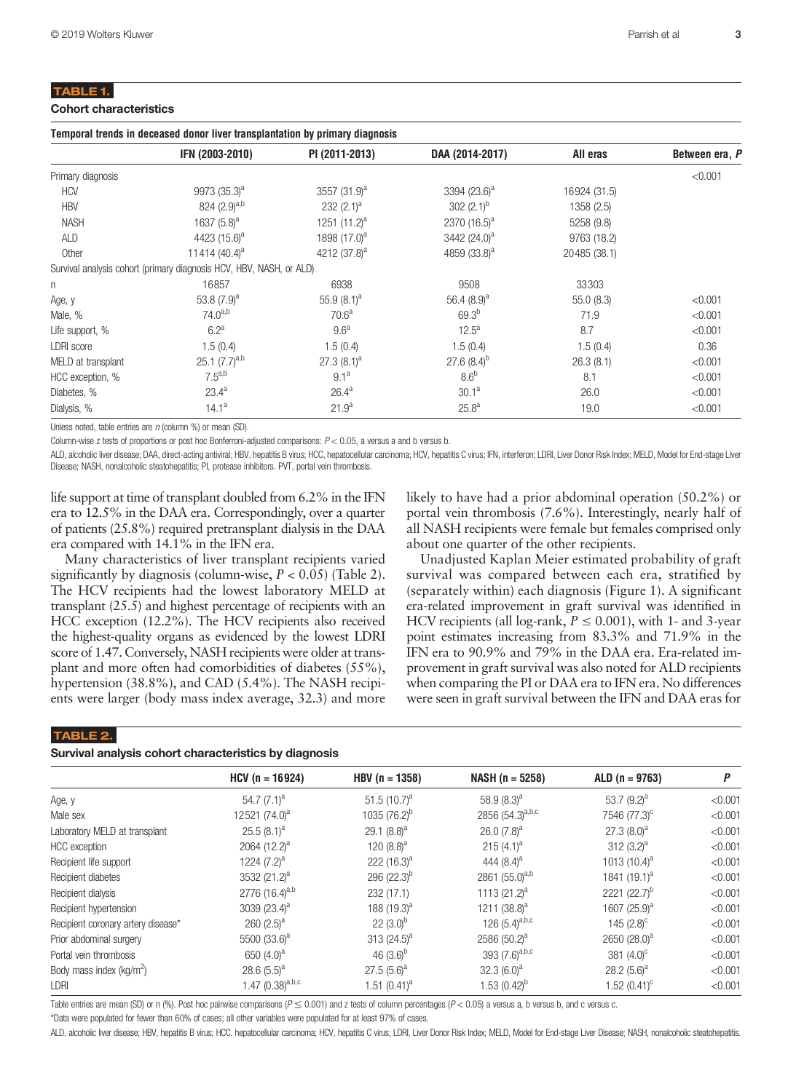## TABLE 1.

| <b>Cohort characteristics</b> |  |  |
|-------------------------------|--|--|
|                               |  |  |

|                    | IFN (2003-2010)                                                     | PI (2011-2013)    | DAA (2014-2017)          | All eras     | Between era, P |
|--------------------|---------------------------------------------------------------------|-------------------|--------------------------|--------------|----------------|
| Primary diagnosis  |                                                                     |                   |                          |              | < 0.001        |
| <b>HCV</b>         | $9973(35.3)^a$                                                      | 3557 $(31.9)^a$   | 3394 $(23.6)^a$          | 16924 (31.5) |                |
| <b>HBV</b>         | 824 $(2.9)^{a,b}$                                                   | 232 $(2.1)^a$     | 302 $(2.1)^b$            | 1358 (2.5)   |                |
| <b>NASH</b>        | 1637 $(5.8)^a$                                                      | 1251 $(11.2)^a$   | 2370 $(16.5)^a$          | 5258 (9.8)   |                |
| ALD                | 4423 (15.6) <sup>a</sup>                                            | 1898 $(17.0)^a$   | 3442 (24.0) <sup>a</sup> | 9763 (18.2)  |                |
| Other              | 11414 $(40.4)^a$                                                    | 4212 $(37.8)^a$   | 4859 (33.8) <sup>a</sup> | 20485 (38.1) |                |
|                    | Survival analysis cohort (primary diagnosis HCV, HBV, NASH, or ALD) |                   |                          |              |                |
| n                  | 16857                                                               | 6938              | 9508                     | 33303        |                |
| Age, y             | 53.8 $(7.9)^a$                                                      | 55.9 $(8.1)^a$    | 56.4 $(8.9)^a$           | 55.0(8.3)    | < 0.001        |
| Male, %            | $74.0^{a,b}$                                                        | 70.6 <sup>a</sup> | $69.3^{b}$               | 71.9         | < 0.001        |
| Life support, %    | $6.2^a$                                                             | 9.6 <sup>a</sup>  | $12.5^{\circ}$           | 8.7          | < 0.001        |
| <b>LDRI</b> score  | 1.5(0.4)                                                            | 1.5(0.4)          | 1.5(0.4)                 | 1.5(0.4)     | 0.36           |
| MELD at transplant | 25.1 $(7.7)^{a,b}$                                                  | $27.3(8.1)^a$     | $27.6(8.4)^{b}$          | 26.3(8.1)    | < 0.001        |
| HCC exception, %   | $7.5^{a,b}$                                                         | $9.1^{\circ}$     | 8.6 <sup>b</sup>         | 8.1          | < 0.001        |
| Diabetes, %        | $23.4^a$                                                            | $26.4^a$          | $30.1^{\rm a}$           | 26.0         | < 0.001        |
| Dialysis, %        | $14.1^a$                                                            | 21.9 <sup>a</sup> | 25.8 <sup>a</sup>        | 19.0         | < 0.001        |

Unless noted, table entries are n (column %) or mean (SD).

Column-wise z tests of proportions or post hoc Bonferroni-adjusted comparisons:  $P < 0.05$ , a versus a and b versus b.

ALD, alcoholic liver disease; DAA, direct-acting antiviral; HBV, hepatitis B virus; HCC, hepatocellular carcinoma; HCV, hepatitis C virus; IFN, interferon; LDRI, Liver Donor Risk Index; MELD, Model for End-stage Liver Disease; NASH, nonalcoholic steatohepatitis; PI, protease inhibitors. PVT, portal vein thrombosis.

life support at time of transplant doubled from 6.2% in the IFN era to 12.5% in the DAA era. Correspondingly, over a quarter of patients (25.8%) required pretransplant dialysis in the DAA era compared with 14.1% in the IFN era.

Many characteristics of liver transplant recipients varied significantly by diagnosis (column-wise,  $P < 0.05$ ) (Table 2). The HCV recipients had the lowest laboratory MELD at transplant (25.5) and highest percentage of recipients with an HCC exception (12.2%). The HCV recipients also received the highest-quality organs as evidenced by the lowest LDRI score of 1.47. Conversely, NASH recipients were older at transplant and more often had comorbidities of diabetes (55%), hypertension (38.8%), and CAD (5.4%). The NASH recipients were larger (body mass index average, 32.3) and more

# likely to have had a prior abdominal operation (50.2%) or portal vein thrombosis (7.6%). Interestingly, nearly half of all NASH recipients were female but females comprised only about one quarter of the other recipients.

Unadjusted Kaplan Meier estimated probability of graft survival was compared between each era, stratified by (separately within) each diagnosis (Figure 1). A significant era-related improvement in graft survival was identified in HCV recipients (all log-rank,  $P \le 0.001$ ), with 1- and 3-year point estimates increasing from 83.3% and 71.9% in the IFN era to 90.9% and 79% in the DAA era. Era-related improvement in graft survival was also noted for ALD recipients when comparing the PI or DAA era to IFN era. No differences were seen in graft survival between the IFN and DAA eras for

#### TABLE 2.

|  |  |  | Survival analysis cohort characteristics by diagnosis |  |  |  |
|--|--|--|-------------------------------------------------------|--|--|--|
|--|--|--|-------------------------------------------------------|--|--|--|

|                                      | $HCV (n = 16924)$          | $HBV$ (n = 1358) | $NASH (n = 5258)$        | $ALD (n = 9763)$         | Ρ       |
|--------------------------------------|----------------------------|------------------|--------------------------|--------------------------|---------|
| Age, y                               | 54.7 $(7.1)^a$             | 51.5 $(10.7)^a$  | 58.9 $(8.3)^a$           | 53.7 $(9.2)^a$           | < 0.001 |
| Male sex                             | 12521 (74.0) <sup>a</sup>  | $1035 (76.2)^b$  | 2856 $(54.3)^{a,b,c}$    | 7546 (77.3) <sup>c</sup> | < 0.001 |
| Laboratory MELD at transplant        | $25.5(8.1)^a$              | 29.1 $(8.8)^a$   | 26.0 $(7.8)^a$           | $27.3(8.0)^a$            | < 0.001 |
| HCC exception                        | 2064 $(12.2)^a$            | 120 $(8.8)^a$    | 215 $(4.1)^a$            | 312 $(3.2)^a$            | < 0.001 |
| Recipient life support               | 1224 $(7.2)^a$             | 222 $(16.3)^a$   | 444 $(8.4)^a$            | 1013 $(10.4)^a$          | < 0.001 |
| Recipient diabetes                   | 3532 (21.2) <sup>a</sup>   | 296 $(22.3)^{b}$ | 2861 $(55.0)^{a,b}$      | 1841 $(19.1)^a$          | < 0.001 |
| Recipient dialysis                   | 2776 (16.4) <sup>a,b</sup> | 232 (17.1)       | 1113 $(21.2)^a$          | 2221 $(22.7)^b$          | < 0.001 |
| Recipient hypertension               | 3039 $(23.4)^a$            | 188 $(19.3)^a$   | 1211 $(38.8)^a$          | 1607 $(25.9)^a$          | < 0.001 |
| Recipient coronary artery disease*   | 260 $(2.5)^a$              | $22(3.0)^b$      | 126 $(5.4)^{a,b,c}$      | 145 $(2.8)^c$            | < 0.001 |
| Prior abdominal surgery              | 5500 (33.6) <sup>a</sup>   | 313 $(24.5)^a$   | 2586 (50.2) <sup>a</sup> | 2650 (28.0) <sup>a</sup> | < 0.001 |
| Portal vein thrombosis               | 650 $(4.0)^a$              | 46 $(3.6)^b$     | 393 $(7.6)^{a,b,c}$      | 381 $(4.0)^c$            | < 0.001 |
| Body mass index (kg/m <sup>2</sup> ) | 28.6 $(5.5)^a$             | $27.5(5.6)^a$    | $32.3(6.0)^a$            | 28.2 $(5.6)^a$           | < 0.001 |
| LDRI                                 | 1.47 $(0.38)^{a,b,c}$      | 1.51 $(0.41)^a$  | 1.53 $(0.42)^{D}$        | 1.52 $(0.41)^c$          | < 0.001 |
|                                      |                            |                  |                          |                          |         |

Table entries are mean (SD) or n (%). Post hoc pairwise comparisons ( $P \le 0.001$ ) and z tests of column percentages ( $P < 0.05$ ) a versus a, b versus b, and c versus c.

\*Data were populated for fewer than 60% of cases; all other variables were populated for at least 97% of cases.

ALD, alcoholic liver disease; HBV, hepatitis B virus; HCC, hepatocellular carcinoma; HCV, hepatitis C virus; LDRI, Liver Donor Risk Index; MELD, Model for End-stage Liver Disease; NASH, nonalcoholic steatohepatitis.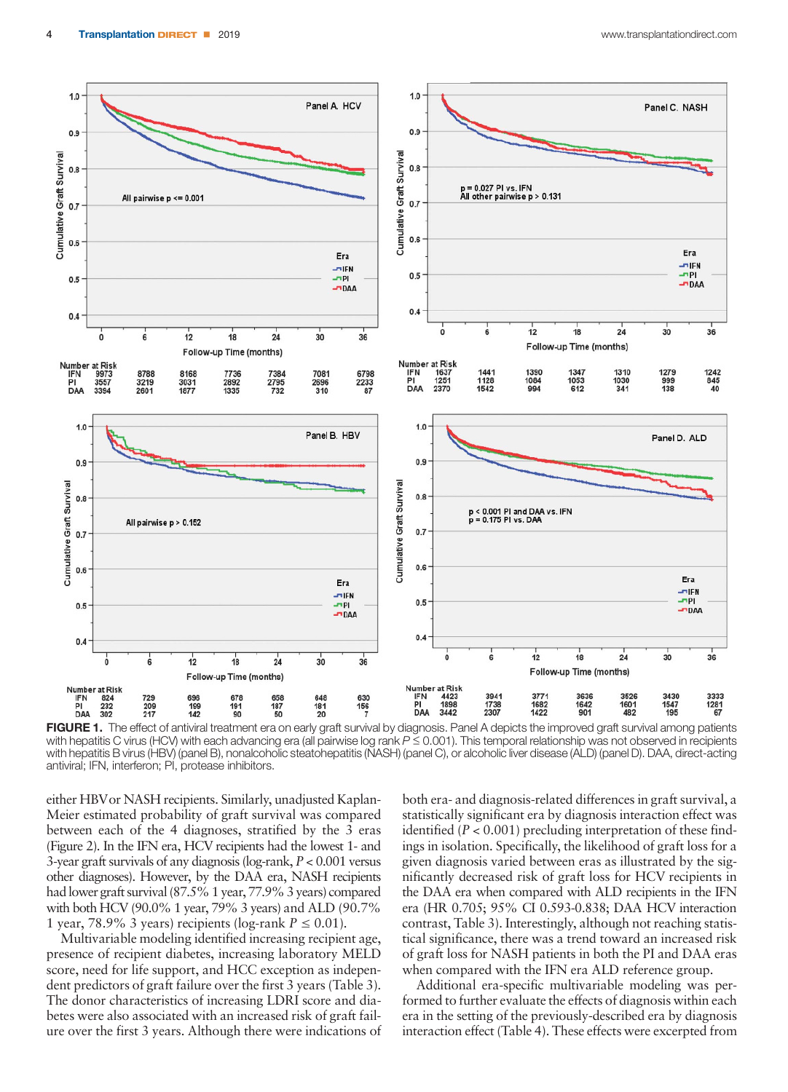

FIGURE 1. The effect of antiviral treatment era on early graft survival by diagnosis. Panel A depicts the improved graft survival among patients with hepatitis C virus (HCV) with each advancing era (all pairwise log rank  $P \le 0.001$ ). This temporal relationship was not observed in recipients with hepatitis B virus (HBV) (panel B), nonalcoholic steatohepatitis (NASH) (panel C), or alcoholic liver disease (ALD) (panel D). DAA, direct-acting antiviral; IFN, interferon; PI, protease inhibitors.

either HBVor NASH recipients. Similarly, unadjusted Kaplan-Meier estimated probability of graft survival was compared between each of the 4 diagnoses, stratified by the 3 eras (Figure 2). In the IFN era, HCV recipients had the lowest 1- and 3-year graft survivals of any diagnosis (log-rank, P < 0.001 versus other diagnoses). However, by the DAA era, NASH recipients had lower graft survival (87.5% 1 year, 77.9% 3 years) compared with both HCV (90.0% 1 year, 79% 3 years) and ALD (90.7% 1 year, 78.9% 3 years) recipients (log-rank  $P \le 0.01$ ).

Multivariable modeling identified increasing recipient age, presence of recipient diabetes, increasing laboratory MELD score, need for life support, and HCC exception as independent predictors of graft failure over the first 3 years (Table 3). The donor characteristics of increasing LDRI score and diabetes were also associated with an increased risk of graft failure over the first 3 years. Although there were indications of

both era- and diagnosis-related differences in graft survival, a statistically significant era by diagnosis interaction effect was identified ( $P < 0.001$ ) precluding interpretation of these findings in isolation. Specifically, the likelihood of graft loss for a given diagnosis varied between eras as illustrated by the significantly decreased risk of graft loss for HCV recipients in the DAA era when compared with ALD recipients in the IFN era (HR 0.705; 95% CI 0.593-0.838; DAA HCV interaction contrast, Table 3). Interestingly, although not reaching statistical significance, there was a trend toward an increased risk of graft loss for NASH patients in both the PI and DAA eras when compared with the IFN era ALD reference group.

Additional era-specific multivariable modeling was performed to further evaluate the effects of diagnosis within each era in the setting of the previously-described era by diagnosis interaction effect (Table 4). These effects were excerpted from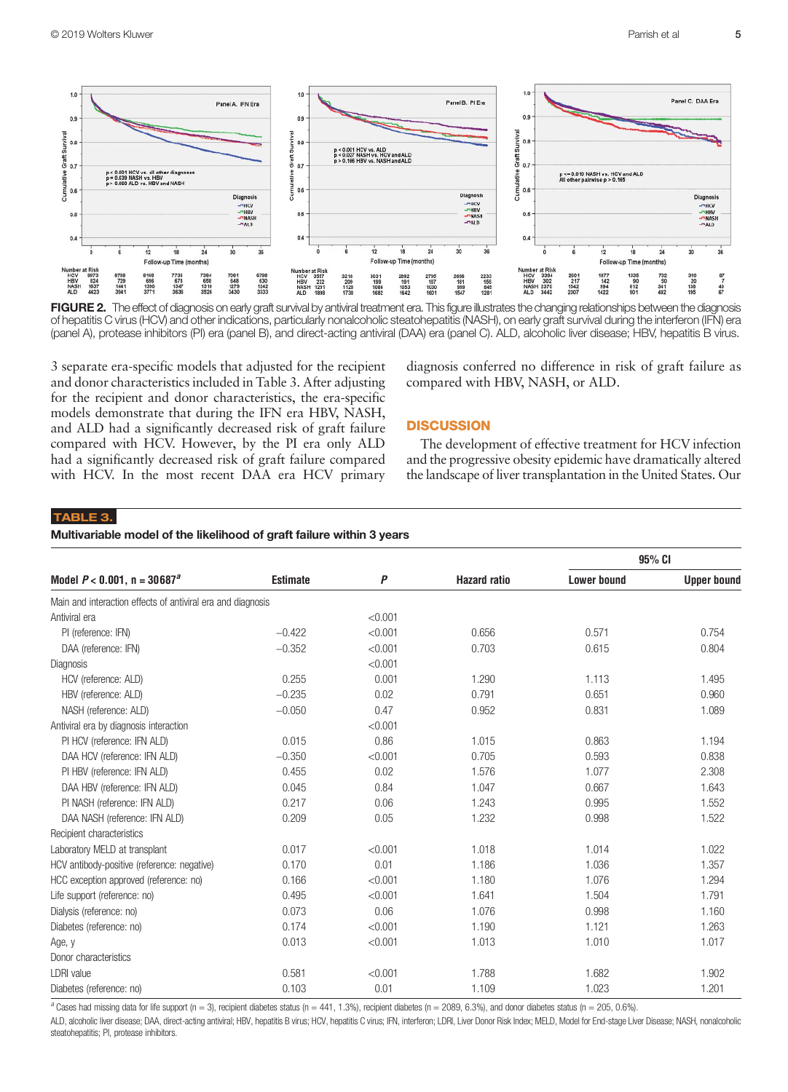

FIGURE 2. The effect of diagnosis on early graft survival by antiviral treatment era. This figure illustrates the changing relationships between the diagnosis of hepatitis C virus (HCV) and other indications, particularly nonalcoholic steatohepatitis (NASH), on early graft survival during the interferon (IFN) era (panel A), protease inhibitors (PI) era (panel B), and direct-acting antiviral (DAA) era (panel C). ALD, alcoholic liver disease; HBV, hepatitis B virus.

3 separate era-specific models that adjusted for the recipient and donor characteristics included in Table 3. After adjusting for the recipient and donor characteristics, the era-specific models demonstrate that during the IFN era HBV, NASH, and ALD had a significantly decreased risk of graft failure compared with HCV. However, by the PI era only ALD had a significantly decreased risk of graft failure compared with HCV. In the most recent DAA era HCV primary diagnosis conferred no difference in risk of graft failure as compared with HBV, NASH, or ALD.

## **DISCUSSION**

The development of effective treatment for HCV infection and the progressive obesity epidemic have dramatically altered the landscape of liver transplantation in the United States. Our

# TABLE 3.

### Multivariable model of the likelihood of graft failure within 3 years

|                                                             |                 |         |                     |                    | 95% CI             |
|-------------------------------------------------------------|-----------------|---------|---------------------|--------------------|--------------------|
| Model $P < 0.001$ , n = 30687 <sup>a</sup>                  | <b>Estimate</b> | P       | <b>Hazard ratio</b> | <b>Lower bound</b> | <b>Upper bound</b> |
| Main and interaction effects of antiviral era and diagnosis |                 |         |                     |                    |                    |
| Antiviral era                                               |                 | < 0.001 |                     |                    |                    |
| PI (reference: IFN)                                         | $-0.422$        | < 0.001 | 0.656               | 0.571              | 0.754              |
| DAA (reference: IFN)                                        | $-0.352$        | < 0.001 | 0.703               | 0.615              | 0.804              |
| Diagnosis                                                   |                 | < 0.001 |                     |                    |                    |
| HCV (reference: ALD)                                        | 0.255           | 0.001   | 1.290               | 1.113              | 1.495              |
| HBV (reference: ALD)                                        | $-0.235$        | 0.02    | 0.791               | 0.651              | 0.960              |
| NASH (reference: ALD)                                       | $-0.050$        | 0.47    | 0.952               | 0.831              | 1.089              |
| Antiviral era by diagnosis interaction                      |                 | < 0.001 |                     |                    |                    |
| PI HCV (reference: IFN ALD)                                 | 0.015           | 0.86    | 1.015               | 0.863              | 1.194              |
| DAA HCV (reference: IFN ALD)                                | $-0.350$        | < 0.001 | 0.705               | 0.593              | 0.838              |
| PI HBV (reference: IFN ALD)                                 | 0.455           | 0.02    | 1.576               | 1.077              | 2.308              |
| DAA HBV (reference: IFN ALD)                                | 0.045           | 0.84    | 1.047               | 0.667              | 1.643              |
| PI NASH (reference: IFN ALD)                                | 0.217           | 0.06    | 1.243               | 0.995              | 1.552              |
| DAA NASH (reference: IFN ALD)                               | 0.209           | 0.05    | 1.232               | 0.998              | 1.522              |
| Recipient characteristics                                   |                 |         |                     |                    |                    |
| Laboratory MELD at transplant                               | 0.017           | < 0.001 | 1.018               | 1.014              | 1.022              |
| HCV antibody-positive (reference: negative)                 | 0.170           | 0.01    | 1.186               | 1.036              | 1.357              |
| HCC exception approved (reference: no)                      | 0.166           | < 0.001 | 1.180               | 1.076              | 1.294              |
| Life support (reference: no)                                | 0.495           | < 0.001 | 1.641               | 1.504              | 1.791              |
| Dialysis (reference: no)                                    | 0.073           | 0.06    | 1.076               | 0.998              | 1.160              |
| Diabetes (reference: no)                                    | 0.174           | < 0.001 | 1.190               | 1.121              | 1.263              |
| Age, y                                                      | 0.013           | < 0.001 | 1.013               | 1.010              | 1.017              |
| Donor characteristics                                       |                 |         |                     |                    |                    |
| <b>LDRI</b> value                                           | 0.581           | < 0.001 | 1.788               | 1.682              | 1.902              |
| Diabetes (reference: no)                                    | 0.103           | 0.01    | 1.109               | 1.023              | 1.201              |

 $a$  Cases had missing data for life support (n = 3), recipient diabetes status (n = 441, 1.3%), recipient diabetes (n = 2089, 6.3%), and donor diabetes status (n = 205, 0.6%).

ALD, alcoholic liver disease; DAA, direct-acting antiviral; HBV, hepatitis B virus; HCV, hepatitis C virus; IFN, interferon; LDRI, Liver Donor Risk Index; MELD, Model for End-stage Liver Disease; NASH, nonalcoholic steatohepatitis; PI, protease inhibitors.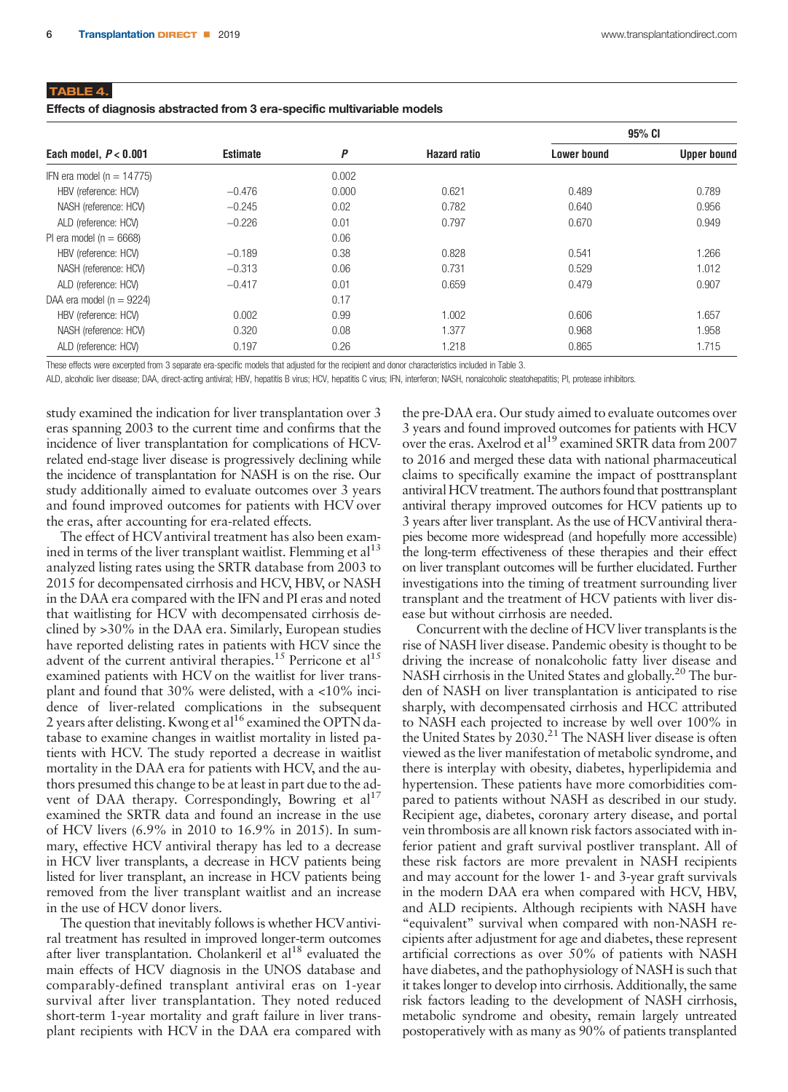| Effects of diagnosis abstracted from 3 era-specific multivariable models |  |  |  |  |
|--------------------------------------------------------------------------|--|--|--|--|
|--------------------------------------------------------------------------|--|--|--|--|

|                               |                 |       |                     |                    | 95% CI             |
|-------------------------------|-----------------|-------|---------------------|--------------------|--------------------|
| Each model, $P < 0.001$       | <b>Estimate</b> | P     | <b>Hazard ratio</b> | <b>Lower bound</b> | <b>Upper bound</b> |
| IFN era model ( $n = 14775$ ) |                 | 0.002 |                     |                    |                    |
| HBV (reference: HCV)          | $-0.476$        | 0.000 | 0.621               | 0.489              | 0.789              |
| NASH (reference: HCV)         | $-0.245$        | 0.02  | 0.782               | 0.640              | 0.956              |
| ALD (reference: HCV)          | $-0.226$        | 0.01  | 0.797               | 0.670              | 0.949              |
| PI era model ( $n = 6668$ )   |                 | 0.06  |                     |                    |                    |
| HBV (reference: HCV)          | $-0.189$        | 0.38  | 0.828               | 0.541              | 1.266              |
| NASH (reference: HCV)         | $-0.313$        | 0.06  | 0.731               | 0.529              | 1.012              |
| ALD (reference: HCV)          | $-0.417$        | 0.01  | 0.659               | 0.479              | 0.907              |
| DAA era model ( $n = 9224$ )  |                 | 0.17  |                     |                    |                    |
| HBV (reference: HCV)          | 0.002           | 0.99  | 1.002               | 0.606              | 1.657              |
| NASH (reference: HCV)         | 0.320           | 0.08  | 1.377               | 0.968              | 1.958              |
| ALD (reference: HCV)          | 0.197           | 0.26  | 1.218               | 0.865              | 1.715              |

These effects were excerpted from 3 separate era-specific models that adjusted for the recipient and donor characteristics included in Table 3.

ALD, alcoholic liver disease; DAA, direct-acting antiviral; HBV, hepatitis B virus; HCV, hepatitis C virus; IFN, interferon; NASH, nonalcoholic steatohepatitis; PI, protease inhibitors.

study examined the indication for liver transplantation over 3 eras spanning 2003 to the current time and confirms that the incidence of liver transplantation for complications of HCVrelated end-stage liver disease is progressively declining while the incidence of transplantation for NASH is on the rise. Our study additionally aimed to evaluate outcomes over 3 years and found improved outcomes for patients with HCV over the eras, after accounting for era-related effects.

The effect of HCV antiviral treatment has also been examined in terms of the liver transplant waitlist. Flemming et  $al<sup>13</sup>$ analyzed listing rates using the SRTR database from 2003 to 2015 for decompensated cirrhosis and HCV, HBV, or NASH in the DAA era compared with the IFN and PI eras and noted that waitlisting for HCV with decompensated cirrhosis declined by >30% in the DAA era. Similarly, European studies have reported delisting rates in patients with HCV since the advent of the current antiviral therapies.<sup>15</sup> Perricone et al<sup>15</sup> examined patients with HCV on the waitlist for liver transplant and found that 30% were delisted, with a <10% incidence of liver-related complications in the subsequent 2 years after delisting. Kwong et al<sup>16</sup> examined the OPTN database to examine changes in waitlist mortality in listed patients with HCV. The study reported a decrease in waitlist mortality in the DAA era for patients with HCV, and the authors presumed this change to be at least in part due to the advent of DAA therapy. Correspondingly, Bowring et al<sup>17</sup> examined the SRTR data and found an increase in the use of HCV livers (6.9% in 2010 to 16.9% in 2015). In summary, effective HCV antiviral therapy has led to a decrease in HCV liver transplants, a decrease in HCV patients being listed for liver transplant, an increase in HCV patients being removed from the liver transplant waitlist and an increase in the use of HCV donor livers.

The question that inevitably follows is whether HCVantiviral treatment has resulted in improved longer-term outcomes after liver transplantation. Cholankeril et  $al^{18}$  evaluated the main effects of HCV diagnosis in the UNOS database and comparably-defined transplant antiviral eras on 1-year survival after liver transplantation. They noted reduced short-term 1-year mortality and graft failure in liver transplant recipients with HCV in the DAA era compared with the pre-DAA era. Our study aimed to evaluate outcomes over 3 years and found improved outcomes for patients with HCV over the eras. Axelrod et al<sup>19</sup> examined SRTR data from 2007 to 2016 and merged these data with national pharmaceutical claims to specifically examine the impact of posttransplant antiviral HCV treatment. The authors found that posttransplant antiviral therapy improved outcomes for HCV patients up to 3 years after liver transplant. As the use of HCV antiviral therapies become more widespread (and hopefully more accessible) the long-term effectiveness of these therapies and their effect on liver transplant outcomes will be further elucidated. Further investigations into the timing of treatment surrounding liver transplant and the treatment of HCV patients with liver disease but without cirrhosis are needed.

Concurrent with the decline of HCV liver transplants is the rise of NASH liver disease. Pandemic obesity is thought to be driving the increase of nonalcoholic fatty liver disease and NASH cirrhosis in the United States and globally.<sup>20</sup> The burden of NASH on liver transplantation is anticipated to rise sharply, with decompensated cirrhosis and HCC attributed to NASH each projected to increase by well over 100% in the United States by 2030.<sup>21</sup> The NASH liver disease is often viewed as the liver manifestation of metabolic syndrome, and there is interplay with obesity, diabetes, hyperlipidemia and hypertension. These patients have more comorbidities compared to patients without NASH as described in our study. Recipient age, diabetes, coronary artery disease, and portal vein thrombosis are all known risk factors associated with inferior patient and graft survival postliver transplant. All of these risk factors are more prevalent in NASH recipients and may account for the lower 1- and 3-year graft survivals in the modern DAA era when compared with HCV, HBV, and ALD recipients. Although recipients with NASH have "equivalent" survival when compared with non-NASH recipients after adjustment for age and diabetes, these represent artificial corrections as over 50% of patients with NASH have diabetes, and the pathophysiology of NASH is such that it takes longer to develop into cirrhosis. Additionally, the same risk factors leading to the development of NASH cirrhosis, metabolic syndrome and obesity, remain largely untreated postoperatively with as many as 90% of patients transplanted